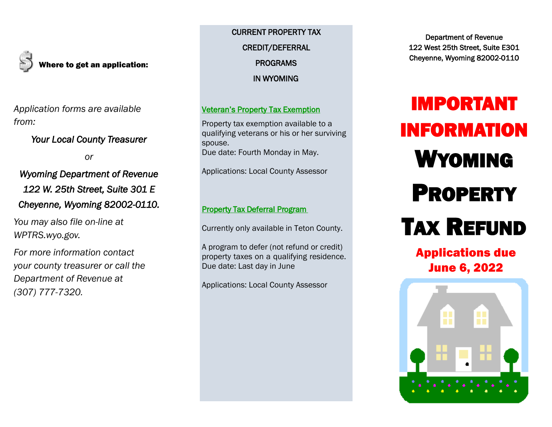

Where to get an application:

*Application forms are available from:* 

# *Your Local County Treasurer*

*or* 

# *Wyoming Department of Revenue 122 W. 25th Street, Suite 301 E Cheyenne, Wyoming 82002-0110.*

*You may also file on-line at WPTRS.wyo.gov.* 

*For more information contact your county treasurer or call the Department of Revenue at (307) 777-7320.*

CURRENT PROPERTY TAX CREDIT/DEFERRAL PROGRAMS IN WYOMING

# Veteran's Property Tax Exemption

Property tax exemption available to a qualifying veterans or his or her surviving spouse. Due date: Fourth Monday in May.

Applications: Local County Assessor

#### Property Tax Deferral Program

Currently only available in Teton County.

A program to defer (not refund or credit) property taxes on a qualifying residence. Due date: Last day in June

Applications: Local County Assessor

Department of Revenue 122 West 25th Street, Suite E301 Cheyenne, Wyoming 82002-0110

# IMPORTANT INFORMATION WYOMING PROPERTY TAX REFUND

Applications due June 6, 2022